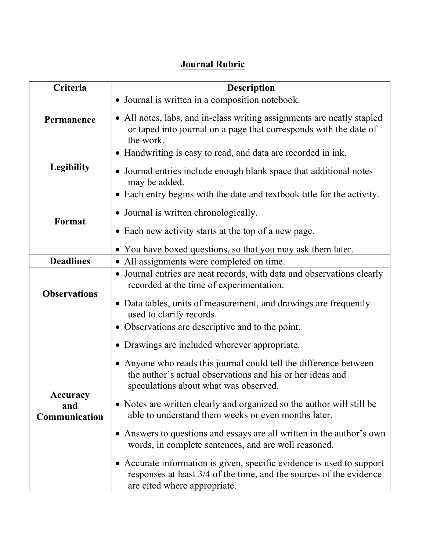## **Journal Rubric**

| Criteria                         | <b>Description</b>                                                                                                                                                           |  |
|----------------------------------|------------------------------------------------------------------------------------------------------------------------------------------------------------------------------|--|
| Permanence                       | • Journal is written in a composition notebook.                                                                                                                              |  |
|                                  | • All notes, labs, and in-class writing assignments are neatly stapled<br>or taped into journal on a page that corresponds with the date of<br>the work.                     |  |
| <b>Legibility</b>                | • Handwriting is easy to read, and data are recorded in ink.                                                                                                                 |  |
|                                  | • Journal entries include enough blank space that additional notes<br>may be added.                                                                                          |  |
| Format                           | • Each entry begins with the date and textbook title for the activity.                                                                                                       |  |
|                                  | • Journal is written chronologically.                                                                                                                                        |  |
|                                  | • Each new activity starts at the top of a new page.                                                                                                                         |  |
|                                  | • You have boxed questions, so that you may ask them later.                                                                                                                  |  |
| <b>Deadlines</b>                 | • All assignments were completed on time.                                                                                                                                    |  |
| <b>Observations</b>              | • Journal entries are neat records, with data and observations clearly<br>recorded at the time of experimentation.                                                           |  |
|                                  | • Data tables, units of measurement, and drawings are frequently<br>used to clarify records.                                                                                 |  |
| Accuracy<br>and<br>Communication | • Observations are descriptive and to the point.                                                                                                                             |  |
|                                  | • Drawings are included wherever appropriate.                                                                                                                                |  |
|                                  | • Anyone who reads this journal could tell the difference between<br>the author's actual observations and his or her ideas and<br>speculations about what was observed.      |  |
|                                  | • Notes are written clearly and organized so the author will still be<br>able to understand them weeks or even months later.                                                 |  |
|                                  | • Answers to questions and essays are all written in the author's own<br>words, in complete sentences, and are well reasoned.                                                |  |
|                                  | • Accurate information is given, specific evidence is used to support<br>responses at least 3/4 of the time, and the sources of the evidence<br>are cited where appropriate. |  |